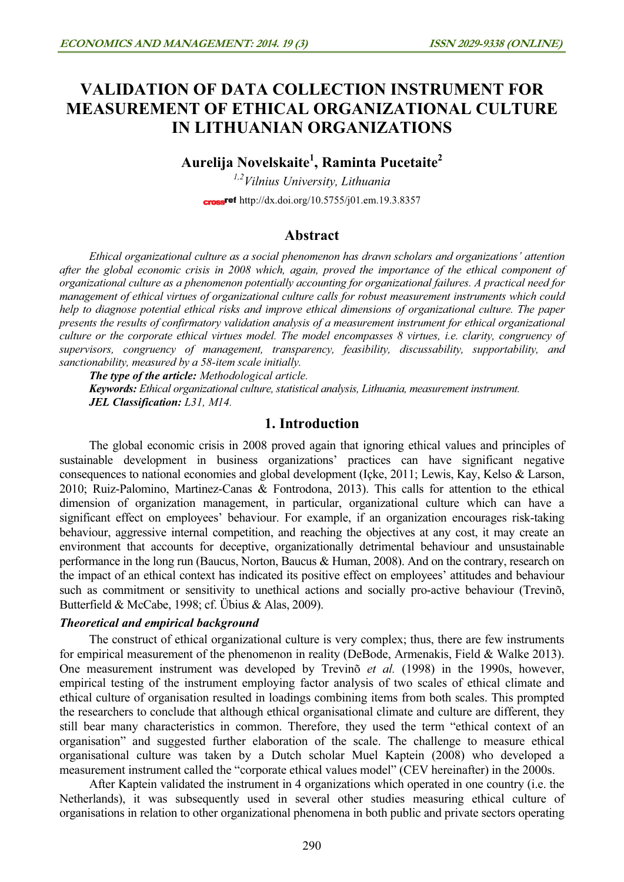# VALIDATION OF DATA COLLECTION INSTRUMENT FOR MEASUREMENT OF ETHICAL ORGANIZATIONAL CULTURE IN LITHUANIAN ORGANIZATIONS

# Aurelija Novelskaite<sup>1</sup>, Raminta Pucetaite<sup>2</sup>

 $1.2$ Vilnius University, Lithuania cross<sup>ref</sup> http://dx.doi.org/10.5755/j01.em.19.3.8357

### Abstract

Ethical organizational culture as a social phenomenon has drawn scholars and organizations' attention after the global economic crisis in 2008 which, again, proved the importance of the ethical component of organizational culture as a phenomenon potentially accounting for organizational failures. A practical need for management of ethical virtues of organizational culture calls for robust measurement instruments which could help to diagnose potential ethical risks and improve ethical dimensions of organizational culture. The paper presents the results of confirmatory validation analysis of a measurement instrument for ethical organizational culture or the corporate ethical virtues model. The model encompasses 8 virtues, i.e. clarity, congruency of supervisors, congruency of management, transparency, feasibility, discussability, supportability, and sanctionability, measured by a 58-item scale initially.

The type of the article: Methodological article.

Keywords: Ethical organizational culture, statistical analysis, Lithuania, measurement instrument. JEL Classification: L31, M14.

### 1. Introduction

The global economic crisis in 2008 proved again that ignoring ethical values and principles of sustainable development in business organizations' practices can have significant negative consequences to national economies and global development (Içke, 2011; Lewis, Kay, Kelso & Larson, 2010; Ruiz-Palomino, Martinez-Canas & Fontrodona, 2013). This calls for attention to the ethical dimension of organization management, in particular, organizational culture which can have a significant effect on employees' behaviour. For example, if an organization encourages risk-taking behaviour, aggressive internal competition, and reaching the objectives at any cost, it may create an environment that accounts for deceptive, organizationally detrimental behaviour and unsustainable performance in the long run (Baucus, Norton, Baucus & Human, 2008). And on the contrary, research on the impact of an ethical context has indicated its positive effect on employees' attitudes and behaviour such as commitment or sensitivity to unethical actions and socially pro-active behaviour (Trevinõ, Butterfield & McCabe, 1998; cf. Übius & Alas, 2009).

#### Theoretical and empirical background

The construct of ethical organizational culture is very complex; thus, there are few instruments for empirical measurement of the phenomenon in reality (DeBode, Armenakis, Field & Walke 2013). One measurement instrument was developed by Trevinõ et al. (1998) in the 1990s, however, empirical testing of the instrument employing factor analysis of two scales of ethical climate and ethical culture of organisation resulted in loadings combining items from both scales. This prompted the researchers to conclude that although ethical organisational climate and culture are different, they still bear many characteristics in common. Therefore, they used the term "ethical context of an organisation" and suggested further elaboration of the scale. The challenge to measure ethical organisational culture was taken by a Dutch scholar Muel Kaptein (2008) who developed a measurement instrument called the "corporate ethical values model" (CEV hereinafter) in the 2000s.

After Kaptein validated the instrument in 4 organizations which operated in one country (i.e. the Netherlands), it was subsequently used in several other studies measuring ethical culture of organisations in relation to other organizational phenomena in both public and private sectors operating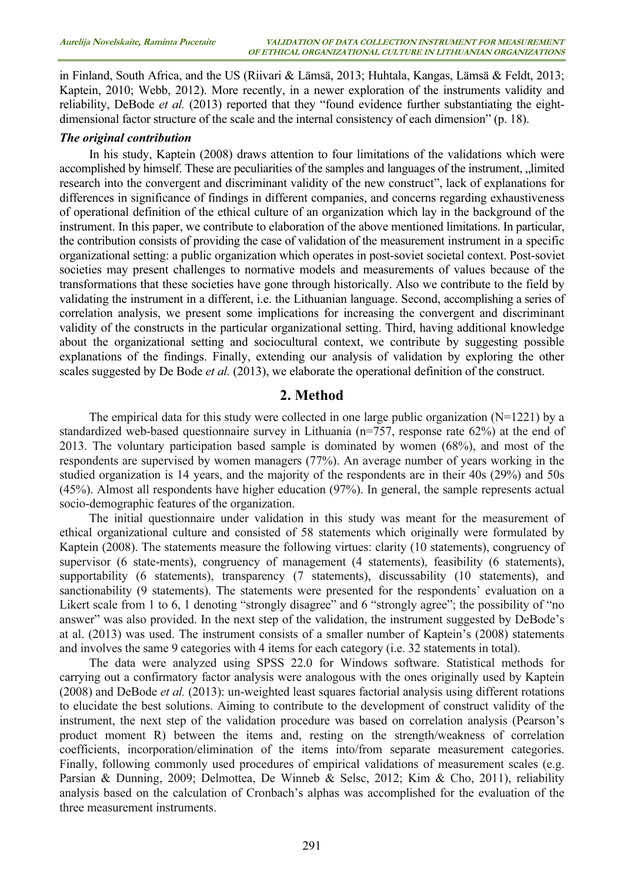in Finland, South Africa, and the US (Riivari & Lämsä, 2013; Huhtala, Kangas, Lämsä & Feldt, 2013; Kaptein, 2010; Webb, 2012). More recently, in a newer exploration of the instruments validity and reliability, DeBode et al. (2013) reported that they "found evidence further substantiating the eightdimensional factor structure of the scale and the internal consistency of each dimension" (p. 18).

#### The original contribution

In his study, Kaptein (2008) draws attention to four limitations of the validations which were accomplished by himself. These are peculiarities of the samples and languages of the instrument, "limited research into the convergent and discriminant validity of the new construct", lack of explanations for differences in significance of findings in different companies, and concerns regarding exhaustiveness of operational definition of the ethical culture of an organization which lay in the background of the instrument. In this paper, we contribute to elaboration of the above mentioned limitations. In particular, the contribution consists of providing the case of validation of the measurement instrument in a specific organizational setting: a public organization which operates in post-soviet societal context. Post-soviet societies may present challenges to normative models and measurements of values because of the transformations that these societies have gone through historically. Also we contribute to the field by validating the instrument in a different, i.e. the Lithuanian language. Second, accomplishing a series of correlation analysis, we present some implications for increasing the convergent and discriminant validity of the constructs in the particular organizational setting. Third, having additional knowledge about the organizational setting and sociocultural context, we contribute by suggesting possible explanations of the findings. Finally, extending our analysis of validation by exploring the other scales suggested by De Bode et al. (2013), we elaborate the operational definition of the construct.

#### 2. Method

The empirical data for this study were collected in one large public organization ( $N=1221$ ) by a standardized web-based questionnaire survey in Lithuania (n=757, response rate 62%) at the end of 2013. The voluntary participation based sample is dominated by women (68%), and most of the respondents are supervised by women managers (77%). An average number of years working in the studied organization is 14 years, and the majority of the respondents are in their 40s (29%) and 50s (45%). Almost all respondents have higher education (97%). In general, the sample represents actual socio-demographic features of the organization.

The initial questionnaire under validation in this study was meant for the measurement of ethical organizational culture and consisted of 58 statements which originally were formulated by Kaptein (2008). The statements measure the following virtues: clarity (10 statements), congruency of supervisor (6 state-ments), congruency of management (4 statements), feasibility (6 statements), supportability (6 statements), transparency (7 statements), discussability (10 statements), and sanctionability (9 statements). The statements were presented for the respondents' evaluation on a Likert scale from 1 to 6, 1 denoting "strongly disagree" and 6 "strongly agree"; the possibility of "no answer" was also provided. In the next step of the validation, the instrument suggested by DeBode's at al. (2013) was used. The instrument consists of a smaller number of Kaptein's (2008) statements and involves the same 9 categories with 4 items for each category (i.e. 32 statements in total).

The data were analyzed using SPSS 22.0 for Windows software. Statistical methods for carrying out a confirmatory factor analysis were analogous with the ones originally used by Kaptein  $(2008)$  and DeBode *et al.*  $(2013)$ : un-weighted least squares factorial analysis using different rotations to elucidate the best solutions. Aiming to contribute to the development of construct validity of the instrument, the next step of the validation procedure was based on correlation analysis (Pearson's product moment R) between the items and, resting on the strength/weakness of correlation coefficients, incorporation/elimination of the items into/from separate measurement categories. Finally, following commonly used procedures of empirical validations of measurement scales (e.g. Parsian & Dunning, 2009; Delmottea, De Winneb & Selsc, 2012; Kim & Cho, 2011), reliability analysis based on the calculation of Cronbach's alphas was accomplished for the evaluation of the three measurement instruments.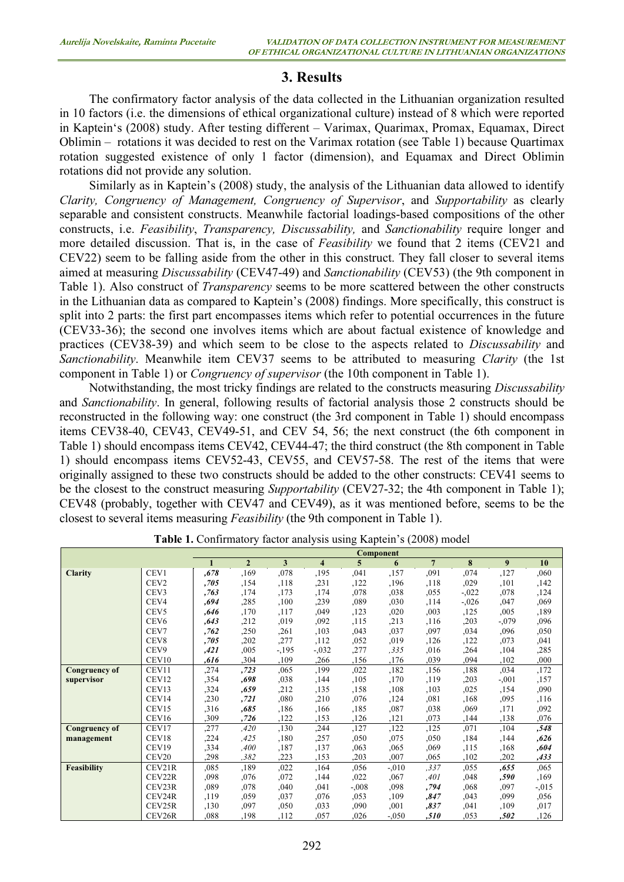## 3. Results

The confirmatory factor analysis of the data collected in the Lithuanian organization resulted in 10 factors (i.e. the dimensions of ethical organizational culture) instead of 8 which were reported in Kaptein's (2008) study. After testing different – Varimax, Quarimax, Promax, Equamax, Direct Oblimin – rotations it was decided to rest on the Varimax rotation (see Table 1) because Quartimax rotation suggested existence of only 1 factor (dimension), and Equamax and Direct Oblimin rotations did not provide any solution.

Similarly as in Kaptein's (2008) study, the analysis of the Lithuanian data allowed to identify Clarity, Congruency of Management, Congruency of Supervisor, and Supportability as clearly separable and consistent constructs. Meanwhile factorial loadings-based compositions of the other constructs, i.e. Feasibility, Transparency, Discussability, and Sanctionability require longer and more detailed discussion. That is, in the case of *Feasibility* we found that 2 items (CEV21 and CEV22) seem to be falling aside from the other in this construct. They fall closer to several items aimed at measuring Discussability (CEV47-49) and Sanctionability (CEV53) (the 9th component in Table 1). Also construct of *Transparency* seems to be more scattered between the other constructs in the Lithuanian data as compared to Kaptein's (2008) findings. More specifically, this construct is split into 2 parts: the first part encompasses items which refer to potential occurrences in the future (CEV33-36); the second one involves items which are about factual existence of knowledge and practices (CEV38-39) and which seem to be close to the aspects related to Discussability and Sanctionability. Meanwhile item CEV37 seems to be attributed to measuring Clarity (the 1st component in Table 1) or Congruency of supervisor (the 10th component in Table 1).

Notwithstanding, the most tricky findings are related to the constructs measuring Discussability and Sanctionability. In general, following results of factorial analysis those 2 constructs should be reconstructed in the following way: one construct (the 3rd component in Table 1) should encompass items CEV38-40, CEV43, CEV49-51, and CEV 54, 56; the next construct (the 6th component in Table 1) should encompass items CEV42, CEV44-47; the third construct (the 8th component in Table 1) should encompass items CEV52-43, CEV55, and CEV57-58. The rest of the items that were originally assigned to these two constructs should be added to the other constructs: CEV41 seems to be the closest to the construct measuring *Supportability* (CEV27-32; the 4th component in Table 1); CEV48 (probably, together with CEV47 and CEV49), as it was mentioned before, seems to be the closest to several items measuring Feasibility (the 9th component in Table 1).

|                      |                   |      |                |        |         |         | <b>Component</b> |                |          |         |          |
|----------------------|-------------------|------|----------------|--------|---------|---------|------------------|----------------|----------|---------|----------|
|                      |                   |      | $\overline{2}$ | 3      | 4       | 5       | 6                | $\overline{7}$ | 8        | 9       | 10       |
| <b>Clarity</b>       | CEV1              | ,678 | ,169           | ,078   | ,195    | ,041    | ,157             | ,091           | ,074     | ,127    | ,060     |
|                      | CEV <sub>2</sub>  | ,705 | ,154           | ,118   | ,231    | ,122    | ,196             | ,118           | ,029     | ,101    | ,142     |
|                      | CEV <sub>3</sub>  | ,763 | ,174           | ,173   | ,174    | ,078    | ,038             | ,055           | $-.022$  | ,078    | ,124     |
|                      | CEV4              | .694 | ,285           | ,100   | ,239    | ,089    | ,030             | , 114          | $-0.026$ | ,047    | ,069     |
|                      | CEV <sub>5</sub>  | .646 | ,170           | ,117   | ,049    | ,123    | ,020             | ,003           | ,125     | ,005    | ,189     |
|                      | CEV <sub>6</sub>  | ,643 | ,212           | ,019   | ,092    | ,115    | ,213             | ,116           | ,203     | $-.079$ | ,096     |
|                      | CEV7              | ,762 | ,250           | ,261   | ,103    | ,043    | ,037             | ,097           | .034     | ,096    | ,050     |
|                      | CEV <sub>8</sub>  | .705 | ,202           | ,277   | ,112    | ,052    | ,019             | ,126           | ,122     | ,073    | ,041     |
|                      | CEV9              | ,421 | ,005           | $-195$ | $-.032$ | ,277    | .335             | .016           | ,264     | ,104    | ,285     |
|                      | CEV10             | ,616 | ,304           | ,109   | ,266    | ,156    | ,176             | ,039           | .094     | ,102    | ,000     |
| <b>Congruency of</b> | CEV11             | ,274 | ,723           | ,065   | ,199    | ,022    | ,182             | ,156           | ,188     | ,034    | ,172     |
| supervisor           | CEV12             | ,354 | .698           | ,038   | ,144    | ,105    | ,170             | ,119           | ,203     | $-.001$ | ,157     |
|                      | CEV13             | ,324 | .659           | ,212   | ,135    | ,158    | ,108             | ,103           | ,025     | ,154    | ,090     |
|                      | CEV14             | ,230 | ,721           | ,080   | ,210    | ,076    | ,124             | ,081           | ,168     | ,095    | ,116     |
|                      | CEV15             | ,316 | ,685           | ,186   | ,166    | ,185    | ,087             | ,038           | ,069     | ,171    | ,092     |
|                      | CEV16             | .309 | ,726           | ,122   | ,153    | ,126    | ,121             | ,073           | ,144     | ,138    | .076     |
| <b>Congruency of</b> | CEV17             | ,277 | ,420           | ,130   | ,244    | ,127    | ,122             | ,125           | ,071     | ,104    | ,548     |
| management           | CEV18             | ,224 | .425           | ,180   | ,257    | ,050    | ,075             | ,050           | ,184     | ,144    | ,626     |
|                      | CEV19             | ,334 | ,400           | ,187   | ,137    | ,063    | ,065             | ,069           | ,115     | ,168    | ,604     |
|                      | CEV <sub>20</sub> | ,298 | .382           | ,223   | ,153    | ,203    | ,007             | .065           | ,102     | ,202    | ,433     |
| Feasibility          | CEV21R            | ,085 | ,189           | ,022   | ,164    | ,056    | $-.010$          | ,337           | ,055     | ,655    | ,065     |
|                      | CEV22R            | ,098 | ,076           | ,072   | ,144    | ,022    | ,067             | ,401           | ,048     | ,590    | ,169     |
|                      | CEV23R            | ,089 | ,078           | ,040   | ,041    | $-.008$ | .098             | ,794           | ,068     | ,097    | $-0.015$ |
|                      | CEV24R            | ,119 | ,059           | ,037   | ,076    | ,053    | ,109             | ,847           | ,043     | ,099    | ,056     |
|                      | CEV25R            | ,130 | ,097           | ,050   | ,033    | ,090    | ,001             | ,837           | ,041     | ,109    | ,017     |
|                      | CEV26R            | ,088 | ,198           | ,112   | ,057    | ,026    | $-.050$          | ,510           | ,053     | ,502    | ,126     |

Table 1. Confirmatory factor analysis using Kaptein's (2008) model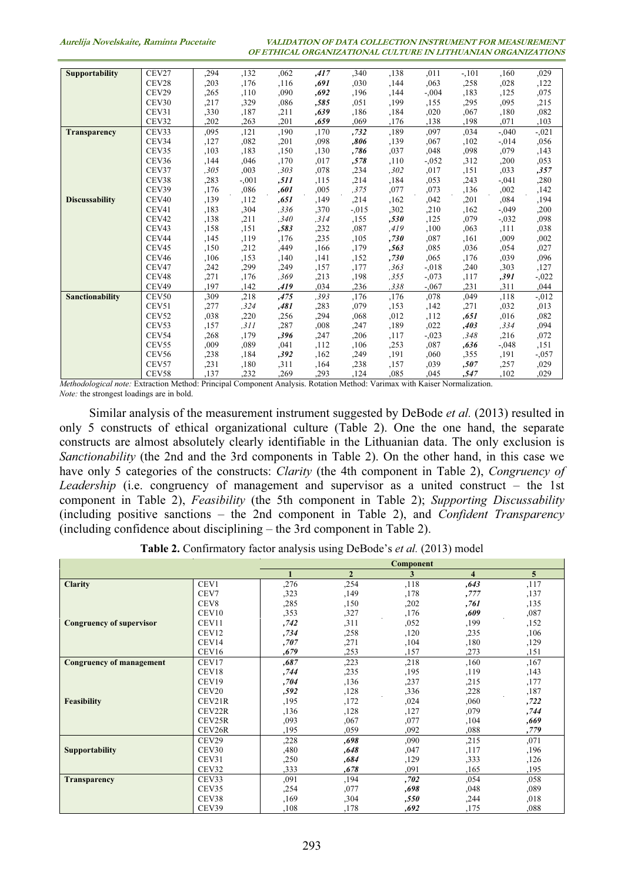| <b>Supportability</b>                                                                                                     | CEV27             | ,294 | ,132    | ,062  | ,417  | ,340    | ,138  | .011    | $-.101$ | ,160    | .029     |
|---------------------------------------------------------------------------------------------------------------------------|-------------------|------|---------|-------|-------|---------|-------|---------|---------|---------|----------|
|                                                                                                                           | CEV28             | ,203 | ,176    | ,116  | .691  | ,030    | .144  | .063    | ,258    | ,028    | ,122     |
|                                                                                                                           | CEV29             | ,265 | ,110    | ,090  | .692  | ,196    | ,144  | $-.004$ | .183    | ,125    | .075     |
|                                                                                                                           | CEV30             | ,217 | ,329    | ,086  | ,585  | ,051    | ,199  | ,155    | ,295    | .095    | ,215     |
|                                                                                                                           | CEV31             | ,330 | ,187    | ,211  | ,639  | ,186    | ,184  | ,020    | ,067    | ,180    | ,082     |
|                                                                                                                           | CEV32             | ,202 | ,263    | ,201  | ,659  | ,069    | ,176  | ,138    | ,198    | ,071    | ,103     |
| <b>Transparency</b>                                                                                                       | CEV33             | ,095 | ,121    | ,190  | ,170  | ,732    | ,189  | ,097    | ,034    | $-.040$ | $-.021$  |
|                                                                                                                           | CEV34             | ,127 | .082    | ,201  | ,098  | ,806    | ,139  | ,067    | ,102    | $-.014$ | ,056     |
|                                                                                                                           | CEV35             | ,103 | ,183    | ,150  | ,130  | ,786    | ,037  | ,048    | .098    | ,079    | ,143     |
|                                                                                                                           | CEV36             | ,144 | .046    | ,170  | ,017  | ,578    | .110  | $-.052$ | ,312    | ,200    | .053     |
|                                                                                                                           | CEV37             | ,305 | ,003    | ,303  | ,078  | ,234    | .302  | ,017    | ,151    | ,033    | ,357     |
|                                                                                                                           | CEV38             | ,283 | $-.001$ | ,511  | ,115  | , 214   | ,184  | ,053    | ,243    | $-.041$ | ,280     |
|                                                                                                                           | CEV39             | .176 | ,086    | ,601  | ,005  | ,375    | ,077  | ,073    | ,136    | ,002    | ,142     |
| <b>Discussability</b>                                                                                                     | CEV <sub>40</sub> | ,139 | ,112    | , 651 | ,149  | , 214   | .162  | .042    | ,201    | .084    | .194     |
|                                                                                                                           | CEV41             | ,183 | ,304    | ,336  | ,370  | $-.015$ | ,302  | ,210    | ,162    | $-.049$ | ,200     |
|                                                                                                                           | CEV <sub>42</sub> | ,138 | , 211   | , 340 | , 314 | ,155    | ,530  | ,125    | ,079    | $-.032$ | .098     |
|                                                                                                                           | CEV <sub>43</sub> | ,158 | ,151    | ,583  | ,232  | ,087    | .419  | ,100    | ,063    | ,111    | ,038     |
|                                                                                                                           | CEV44             | ,145 | .119    | ,176  | ,235  | ,105    | ,730  | ,087    | ,161    | ,009    | .002     |
|                                                                                                                           | CEV45             | ,150 | ,212    | ,449  | ,166  | ,179    | ,563  | ,085    | .036    | ,054    | ,027     |
|                                                                                                                           | CEV46             | ,106 | ,153    | ,140  | ,141  | ,152    | ,730  | ,065    | ,176    | ,039    | ,096     |
|                                                                                                                           | CEV47             | ,242 | ,299    | ,249  | ,157  | ,177    | , 363 | $-.018$ | ,240    | ,303    | ,127     |
|                                                                                                                           | CEV <sub>48</sub> | ,271 | ,176    | ,369  | ,213  | ,198    | ,355  | $-.073$ | ,117    | ,391    | $-.022$  |
|                                                                                                                           | CEV49             | ,197 | ,142    | ,419  | ,034  | ,236    | ,338  | $-.067$ | , 231   | ,311    | ,044     |
| Sanctionability                                                                                                           | CEV50             | ,309 | ,218    | ,475  | ,393  | ,176    | ,176  | ,078    | ,049    | ,118    | $-0.012$ |
|                                                                                                                           | CEV51             | ,277 | ,324    | ,481  | ,283  | ,079    | ,153  | ,142    | ,271    | ,032    | ,013     |
|                                                                                                                           | CEV52             | ,038 | ,220    | ,256  | .294  | ,068    | .012  | ,112    | .651    | .016    | .082     |
|                                                                                                                           | CEV53             | ,157 | .311    | ,287  | ,008  | ,247    | ,189  | ,022    | ,403    | ,334    | .094     |
|                                                                                                                           | CEV54             | ,268 | ,179    | ,396  | ,247  | ,206    | ,117  | $-.023$ | .348    | ,216    | .072     |
|                                                                                                                           | CEV55             | ,009 | ,089    | ,041  | ,112  | ,106    | ,253  | .087    | .636    | $-.048$ | ,151     |
|                                                                                                                           | CEV56             | ,238 | ,184    | ,392  | ,162  | ,249    | ,191  | ,060    | ,355    | ,191    | $-.057$  |
|                                                                                                                           | CEV57             | ,231 | ,180    | , 311 | ,164  | ,238    | ,157  | ,039    | ,507    | ,257    | ,029     |
|                                                                                                                           | CEV58             | ,137 | .232    | ,269  | ,293  | ,124    | .085  | ,045    | ,547    | ,102    | .029     |
| Methodological note: Extraction Method: Principal Component Analysis. Rotation Method: Varimax with Kaiser Normalization. |                   |      |         |       |       |         |       |         |         |         |          |

Note: the strongest loadings are in bold.

Similar analysis of the measurement instrument suggested by DeBode *et al.* (2013) resulted in only 5 constructs of ethical organizational culture (Table 2). One the one hand, the separate constructs are almost absolutely clearly identifiable in the Lithuanian data. The only exclusion is Sanctionability (the 2nd and the 3rd components in Table 2). On the other hand, in this case we have only 5 categories of the constructs: *Clarity* (the 4th component in Table 2), *Congruency of* Leadership (i.e. congruency of management and supervisor as a united construct – the 1st component in Table 2), Feasibility (the 5th component in Table 2); Supporting Discussability (including positive sanctions – the 2nd component in Table 2), and Confident Transparency (including confidence about disciplining – the 3rd component in Table 2).

|  | Table 2. Confirmatory factor analysis using DeBode's et al. (2013) model |  |  |  |
|--|--------------------------------------------------------------------------|--|--|--|
|--|--------------------------------------------------------------------------|--|--|--|

|                                 |                   |      |              | Component |                    |      |
|---------------------------------|-------------------|------|--------------|-----------|--------------------|------|
|                                 |                   |      | $\mathbf{2}$ | 3         | $\overline{\bf 4}$ | 5    |
| <b>Clarity</b>                  | CEV1              | ,276 | ,254         | ,118      | ,643               | ,117 |
|                                 | CEV7              | .323 | .149         | .178      | ,777               | ,137 |
|                                 | CEV <sub>8</sub>  | ,285 | ,150         | ,202      | ,761               | ,135 |
|                                 | CEV10             | ,353 | ,327         | ,176      | ,609               | ,087 |
| <b>Congruency of supervisor</b> | CEV11             | ,742 | , 311        | .052      | ,199               | ,152 |
|                                 | CEV12             | ,734 | ,258         | ,120      | ,235               | ,106 |
|                                 | CEV14             | ,707 | ,271         | ,104      | ,180               | ,129 |
|                                 | CEV16             | ,679 | ,253         | .157      | .273               | ,151 |
| <b>Congruency of management</b> | CEV17             | ,687 | ,223         | ,218      | ,160               | ,167 |
|                                 | CEV18             | ,744 | ,235         | ,195      | ,119               | ,143 |
|                                 | CEV19             | ,704 | ,136         | ,237      | ,215               | ,177 |
|                                 | CEV20             | ,592 | .128         | ,336      | ,228               | ,187 |
| Feasibility                     | CEV21R            | ,195 | ,172         | ,024      | ,060               | ,722 |
|                                 | CEV22R            | ,136 | ,128         | ,127      | ,079               | ,744 |
|                                 | CEV25R            | .093 | ,067         | ,077      | ,104               | .669 |
|                                 | CEV26R            | ,195 | .059         | .092      | .088               | ,779 |
|                                 | CEV29             | ,228 | .698         | ,090      | ,215               | ,071 |
| <b>Supportability</b>           | CEV <sub>30</sub> | ,480 | ,648         | .047      | ,117               | ,196 |
|                                 | CEV31             | ,250 | .684         | ,129      | ,333               | ,126 |
|                                 | CEV32             | ,333 | .678         | ,091      | ,165               | ,195 |
| <b>Transparency</b>             | CEV33             | ,091 | ,194         | ,702      | ,054               | ,058 |
|                                 | CEV35             | ,254 | ,077         | ,698      | ,048               | ,089 |
|                                 | CEV38             | ,169 | ,304         | ,550      | ,244               | ,018 |
|                                 | CEV39             | ,108 | ,178         | .692      | ,175               | .088 |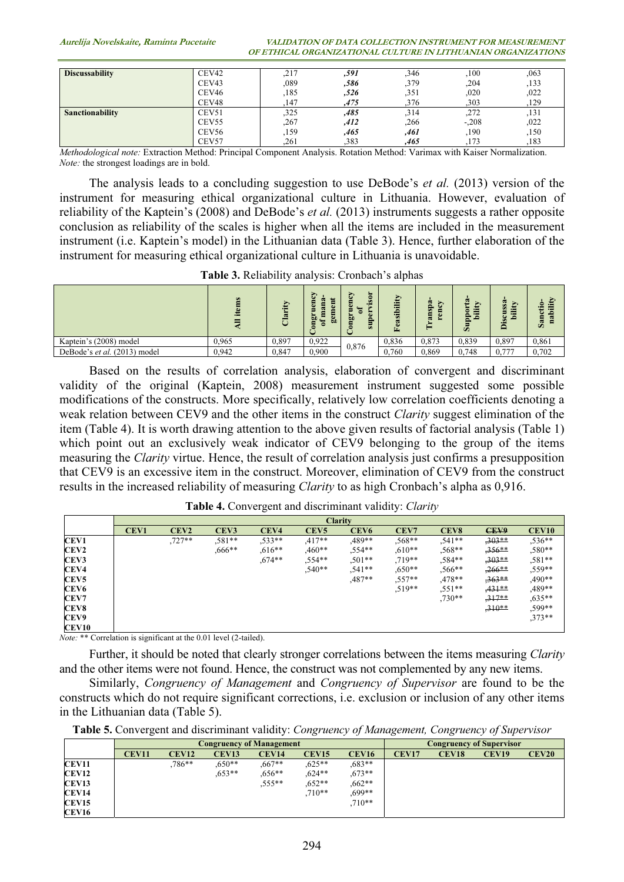Aurelija Novelskaite, Raminta Pucetaite VALIDATION OF DATA COLLECTION INSTRUMENT FOR MEASUREMENT OF ETHICAL ORGANIZATIONAL CULTURE IN LITHUANIAN ORGANIZATIONS

| <b>Discussability</b> | CEV <sub>42</sub> | ,217 | ,591 | .346 | ,100    | ,063 |
|-----------------------|-------------------|------|------|------|---------|------|
|                       | CEV <sub>43</sub> | ,089 | ,586 | ,379 | .204    | ,133 |
|                       | CEV <sub>46</sub> | ,185 | ,526 | ,351 | ,020    | ,022 |
|                       | CEV <sub>48</sub> | 147  | .475 | .376 | .303    | 129  |
| Sanctionability       | CEV51             | ,325 | ,485 | ,314 | ,272    | ,131 |
|                       | CEV <sub>55</sub> | .267 | ,412 | .266 | $-.208$ | .022 |
|                       | CEV <sub>56</sub> | ,159 | ,465 | ,461 | ,190    | ,150 |
|                       | CEV57             | .261 | ,383 | .465 | 173     | ,183 |

CEV57 1,133 ,183 ,173 ,183<br>Methodological note: Extraction Method: Principal Component Analysis. Rotation Method: Varimax with Kaiser Normalization. Note: the strongest loadings are in bold.

The analysis leads to a concluding suggestion to use DeBode's *et al.* (2013) version of the instrument for measuring ethical organizational culture in Lithuania. However, evaluation of reliability of the Kaptein's (2008) and DeBode's et al. (2013) instruments suggests a rather opposite conclusion as reliability of the scales is higher when all the items are included in the measurement instrument (i.e. Kaptein's model) in the Lithuanian data (Table 3). Hence, further elaboration of the instrument for measuring ethical organizational culture in Lithuania is unavoidable.

Table 3. Reliability analysis: Cronbach's alphas

|                              | ins<br>Æ | CO.   | డి<br>е<br>$\omega$<br><b>So</b><br>60 | isor<br>ьŗ<br><b>Sup</b> | ility<br>$\sin$<br>සි<br>Œ, | Ġ3<br>⋗<br>⌒<br>ø<br>ä<br>×. | 2<br>٩<br>مت | S <sub>S</sub> a<br>ity<br>isc<br>م | 55.<br>ශී |
|------------------------------|----------|-------|----------------------------------------|--------------------------|-----------------------------|------------------------------|--------------|-------------------------------------|-----------|
| Kaptein's (2008) model       | 0.965    | 0,897 | 0.922                                  |                          | 0.836                       | 0.873                        | 0.839        | 0.897                               | 0,861     |
| DeBode's et al. (2013) model | 0.942    | 0.847 | 0.900                                  | 0.876                    | 0.760                       | 0.869                        | 0.748        | 0.777                               | 0.702     |

Based on the results of correlation analysis, elaboration of convergent and discriminant validity of the original (Kaptein, 2008) measurement instrument suggested some possible modifications of the constructs. More specifically, relatively low correlation coefficients denoting a weak relation between CEV9 and the other items in the construct *Clarity* suggest elimination of the item (Table 4). It is worth drawing attention to the above given results of factorial analysis (Table 1) which point out an exclusively weak indicator of CEV9 belonging to the group of the items measuring the Clarity virtue. Hence, the result of correlation analysis just confirms a presupposition that CEV9 is an excessive item in the construct. Moreover, elimination of CEV9 from the construct results in the increased reliability of measuring *Clarity* to as high Cronbach's alpha as 0,916.

| Table 4. Convergent and discriminant validity: Clarity |  |  |
|--------------------------------------------------------|--|--|
|                                                        |  |  |

|                  |                  | <b>Clarity</b>   |                  |           |                  |                  |           |                  |          |              |
|------------------|------------------|------------------|------------------|-----------|------------------|------------------|-----------|------------------|----------|--------------|
|                  | CEV <sub>1</sub> | CEV <sub>2</sub> | CEV <sub>3</sub> | CEV4      | CEV <sub>5</sub> | CEV <sub>6</sub> | CEV7      | CEV <sub>8</sub> | CEV9     | <b>CEV10</b> |
| <b>CEV1</b>      |                  | $,727**$         | $.581**$         | $.533**$  | $.417**$         | .489**           | ,568**    | $.541**$         | $,303**$ | $,536**$     |
| CEV <sub>2</sub> |                  |                  | $0.666**$        | $.616**$  | $0***$           | $.554**$         | $0.610**$ | $,568**$         | $,356**$ | $,580**$     |
| CEV3             |                  |                  |                  | $0.674**$ | $.554**$         | $.501**$         | $.719**$  | $.584**$         | $,303**$ | $,581**$     |
| CEV <sub>4</sub> |                  |                  |                  |           | $.540**$         | $.541**$         | $0.650**$ | $.566***$        | $,266**$ | $.559**$     |
| CEV <sub>5</sub> |                  |                  |                  |           |                  | $.487**$         | $.557**$  | $,478**$         | $.363**$ | $,490**$     |
| CEV6             |                  |                  |                  |           |                  |                  | $.519**$  | $.551**$         | $,431**$ | $,489**$     |
| <b>CEV7</b>      |                  |                  |                  |           |                  |                  |           | $,730**$         | $.317**$ | $,635***$    |
| CEV8             |                  |                  |                  |           |                  |                  |           |                  | $.310**$ | ,599**       |
| <b>CEV9</b>      |                  |                  |                  |           |                  |                  |           |                  |          | $.373**$     |
| CEV10            |                  |                  |                  |           |                  |                  |           |                  |          |              |

Note: \*\* Correlation is significant at the 0.01 level (2-tailed).

Further, it should be noted that clearly stronger correlations between the items measuring *Clarity* and the other items were not found. Hence, the construct was not complemented by any new items.

Similarly, Congruency of Management and Congruency of Supervisor are found to be the constructs which do not require significant corrections, i.e. exclusion or inclusion of any other items in the Lithuanian data (Table 5).

|              |              |              | <b>Congruency of Management</b> | <b>Congruency of Supervisor</b> |              |              |              |              |                   |              |
|--------------|--------------|--------------|---------------------------------|---------------------------------|--------------|--------------|--------------|--------------|-------------------|--------------|
|              | <b>CEV11</b> | <b>CEV12</b> | <b>CEV13</b>                    | <b>CEV14</b>                    | <b>CEV15</b> | <b>CEV16</b> | <b>CEV17</b> | <b>CEV18</b> | CEV <sub>19</sub> | <b>CEV20</b> |
| CEV11        |              | $.786**$     | $0.650**$                       | $.667**$                        | $0.625**$    | $0.683**$    |              |              |                   |              |
| <b>CEV12</b> |              |              | $.653**$                        | $.656**$                        | $.624**$     | $.673**$     |              |              |                   |              |
| <b>CEV13</b> |              |              |                                 | $,555***$                       | $0.652**$    | $0.662**$    |              |              |                   |              |
| <b>CEV14</b> |              |              |                                 |                                 | $,710**$     | $.699**$     |              |              |                   |              |
| <b>CEV15</b> |              |              |                                 |                                 |              | $.710**$     |              |              |                   |              |
| <b>CEV16</b> |              |              |                                 |                                 |              |              |              |              |                   |              |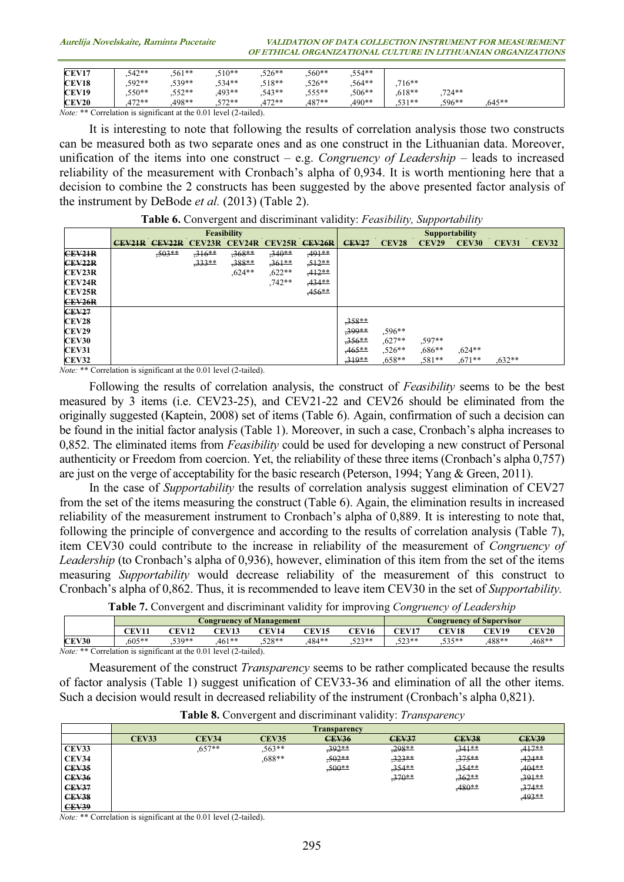Aurelija Novelskaite, Raminta Pucetaite VALIDATION OF DATA COLLECTION INSTRUMENT FOR MEASUREMENT OF ETHICAL ORGANIZATIONAL CULTURE IN LITHUANIAN ORGANIZATIONS

| <b>CEV17</b> | $,542**$ | $.561**$ | $,510**$ | $,526**$ | $0.560**$ | $,554**$ |          |          |           |  |
|--------------|----------|----------|----------|----------|-----------|----------|----------|----------|-----------|--|
| CEV18        | $,592**$ | $.539**$ | $.534**$ | $.518**$ | $.526**$  | $.564**$ | $716**$  |          |           |  |
| <b>CEV19</b> | $,550**$ | $.552**$ | $.493**$ | $.543**$ | $.555**$  | $.506**$ | $.618**$ | 724**    |           |  |
| <b>CEV20</b> | $.472**$ | 498**    | $.572**$ | $.472**$ | .487**    | $.490**$ | $.531**$ | $.596**$ | $0.645**$ |  |

Note: \*\* Correlation is significant at the 0.01 level (2-tailed).

It is interesting to note that following the results of correlation analysis those two constructs can be measured both as two separate ones and as one construct in the Lithuanian data. Moreover, unification of the items into one construct – e.g. Congruency of Leadership – leads to increased reliability of the measurement with Cronbach's alpha of 0,934. It is worth mentioning here that a decision to combine the 2 constructs has been suggested by the above presented factor analysis of the instrument by DeBode et al. (2013) (Table 2).

| Table 6. Convergent and discriminant validity: Feasibility, Supportability |  |  |
|----------------------------------------------------------------------------|--|--|
|                                                                            |  |  |

|               | Feasibility   |               |               |           |           |                    |              | <b>Supportability</b> |           |              |              |              |  |
|---------------|---------------|---------------|---------------|-----------|-----------|--------------------|--------------|-----------------------|-----------|--------------|--------------|--------------|--|
|               | <b>CEV21R</b> | <b>CEV22R</b> | <b>CEV23R</b> | CEV24R    | CEV25R    | CEV <sub>26R</sub> | <b>CEV27</b> | <b>CEV28</b>          | CEV29     | <b>CEV30</b> | <b>CEV31</b> | <b>CEV32</b> |  |
| CEV21R        |               | $,503**$      | $,316**$      | $,368**$  | $,340**$  | $,491**$           |              |                       |           |              |              |              |  |
| CEV22R        |               |               | $,333**$      | $,388**$  | $.361**$  | $,512**$           |              |                       |           |              |              |              |  |
| <b>CEV23R</b> |               |               |               | $0.624**$ | $0.622**$ | $,412**$           |              |                       |           |              |              |              |  |
| <b>CEV24R</b> |               |               |               |           | $.742**$  | $,434**$           |              |                       |           |              |              |              |  |
| <b>CEV25R</b> |               |               |               |           |           | $,456**$           |              |                       |           |              |              |              |  |
| CEV26R        |               |               |               |           |           |                    |              |                       |           |              |              |              |  |
| <b>CEV27</b>  |               |               |               |           |           |                    |              |                       |           |              |              |              |  |
| <b>CEV28</b>  |               |               |               |           |           |                    | $.358**$     |                       |           |              |              |              |  |
| <b>CEV29</b>  |               |               |               |           |           |                    | 399**        | $.596**$              |           |              |              |              |  |
| <b>CEV30</b>  |               |               |               |           |           |                    | $,356**$     | $.627**$              | .597**    |              |              |              |  |
| <b>CEV31</b>  |               |               |               |           |           |                    | $,465**$     | $.526**$              | $0.686**$ | $.624**$     |              |              |  |
| <b>CEV32</b>  |               |               |               |           |           |                    | $.319**$     | $0.658**$             | $.581**$  | $.671**$     | $0.632**$    |              |  |

Note: \*\* Correlation is significant at the 0.01 level (2-tailed).

Following the results of correlation analysis, the construct of Feasibility seems to be the best measured by 3 items (i.e. CEV23-25), and CEV21-22 and CEV26 should be eliminated from the originally suggested (Kaptein, 2008) set of items (Table 6). Again, confirmation of such a decision can be found in the initial factor analysis (Table 1). Moreover, in such a case, Cronbach's alpha increases to 0,852. The eliminated items from *Feasibility* could be used for developing a new construct of Personal authenticity or Freedom from coercion. Yet, the reliability of these three items (Cronbach's alpha 0,757) are just on the verge of acceptability for the basic research (Peterson, 1994; Yang & Green, 2011).

In the case of *Supportability* the results of correlation analysis suggest elimination of CEV27 from the set of the items measuring the construct (Table 6). Again, the elimination results in increased reliability of the measurement instrument to Cronbach's alpha of 0,889. It is interesting to note that, following the principle of convergence and according to the results of correlation analysis (Table 7), item CEV30 could contribute to the increase in reliability of the measurement of Congruency of Leadership (to Cronbach's alpha of 0,936), however, elimination of this item from the set of the items measuring Supportability would decrease reliability of the measurement of this construct to Cronbach's alpha of 0,862. Thus, it is recommended to leave item CEV30 in the set of Supportability.

| Table 7. Convergent and discriminant validity for improving Congruency of Leadership |  |  |  |
|--------------------------------------------------------------------------------------|--|--|--|
|                                                                                      |  |  |  |

|              |          |                   |                                 |                          |              | . .            |                |           |              |              |
|--------------|----------|-------------------|---------------------------------|--------------------------|--------------|----------------|----------------|-----------|--------------|--------------|
|              |          |                   | <b>Congruency of Management</b> | Congruency of Supervisor |              |                |                |           |              |              |
|              | CEV11    | <b>CEV12</b>      | <b>CEV13</b>                    | <b>CEV14</b>             | <b>CEV15</b> | CEV16          | <b>CEV17</b>   | CEV18     | <b>CEV19</b> | <b>CEV20</b> |
| <b>CEV30</b> | $.605**$ | 530**<br>. J J    | 461**                           | $.528**$                 | 484**        | 502**<br>ر ے ر | 572**<br>ر ے ب | 525**<br> | .488**       | $.468**$     |
| 37.3400      | $\cdot$  | $\cdots$ $\cdots$ | $1/2$ $1/3$                     |                          |              |                |                |           |              |              |

Note: \*\* Correlation is significant at the 0.01 level (2-tailed).

Measurement of the construct *Transparency* seems to be rather complicated because the results of factor analysis (Table 1) suggest unification of CEV33-36 and elimination of all the other items. Such a decision would result in decreased reliability of the instrument (Cronbach's alpha 0,821).

|              |              |              |              | <b>Transparency</b> |              |              |              |
|--------------|--------------|--------------|--------------|---------------------|--------------|--------------|--------------|
|              | <b>CEV33</b> | <b>CEV34</b> | <b>CEV35</b> | <b>CEV36</b>        | <b>CEV37</b> | <b>CEV38</b> | <b>CEV39</b> |
| CEV33        |              | $.657**$     | $,563**$     | $.392**$            | $.298**$     | $,341**$     | $.417**$     |
| CEV34        |              |              | $0.688**$    | $,502**$            | $,323**$     | $,375**$     | $,424**$     |
| <b>CEV35</b> |              |              |              | $,500**$            | $.354**$     | $.354**$     | $,404**$     |
| <b>CEV36</b> |              |              |              |                     | $,370**$     | $,362**$     | $,391**$     |
| <b>CEV37</b> |              |              |              |                     |              | $,480**$     | $,374**$     |
| <b>CEV38</b> |              |              |              |                     |              |              | .493 **      |
| <b>CEV39</b> |              |              |              |                     |              |              |              |

| Table 8. Convergent and discriminant validity: Transparency |
|-------------------------------------------------------------|
|-------------------------------------------------------------|

Note: \*\* Correlation is significant at the 0.01 level (2-tailed).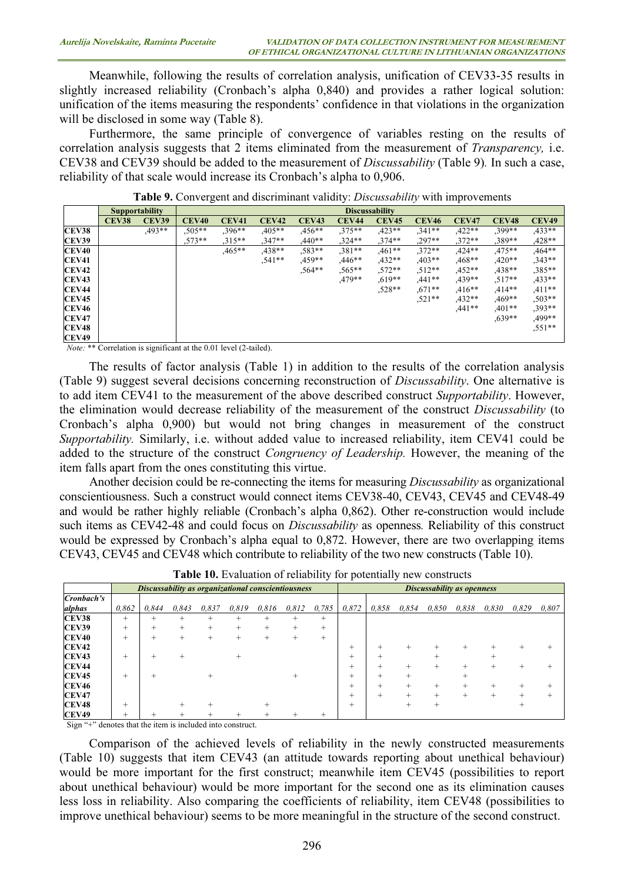Meanwhile, following the results of correlation analysis, unification of CEV33-35 results in slightly increased reliability (Cronbach's alpha 0,840) and provides a rather logical solution: unification of the items measuring the respondents' confidence in that violations in the organization will be disclosed in some way (Table 8).

Furthermore, the same principle of convergence of variables resting on the results of correlation analysis suggests that 2 items eliminated from the measurement of *Transparency*, i.e. CEV38 and CEV39 should be added to the measurement of Discussability (Table 9). In such a case, reliability of that scale would increase its Cronbach's alpha to 0,906.

|              |                   | <b>Supportability</b> |              | <b>Discussability</b> |              |              |              |              |              |              |              |              |
|--------------|-------------------|-----------------------|--------------|-----------------------|--------------|--------------|--------------|--------------|--------------|--------------|--------------|--------------|
|              | CEV <sub>38</sub> | <b>CEV39</b>          | <b>CEV40</b> | <b>CEV41</b>          | <b>CEV42</b> | <b>CEV43</b> | <b>CEV44</b> | <b>CEV45</b> | <b>CEV46</b> | <b>CEV47</b> | <b>CEV48</b> | <b>CEV49</b> |
| <b>CEV38</b> |                   | $.493**$              | $0.505**$    | $.396**$              | $0.405**$    | $0.456**$    | $.375**$     | $,423**$     | $.341**$     | $,422**$     | $.399**$     | $,433**$     |
| <b>CEV39</b> |                   |                       | $,573**$     | $,315**$              | $,347**$     | $,440**$     | $,324**$     | $,374**$     | $.297**$     | $,372**$     | $,389**$     | $,428**$     |
| CEV40        |                   |                       |              | $0.465**$             | $.438**$     | $.583**$     | $,381**$     | $0.461**$    | $.372**$     | $,424**$     | $.475**$     | $.464**$     |
| CEV41        |                   |                       |              |                       | $.541**$     | $0.459**$    | $,446**$     | $,432**$     | $.403**$     | $0.468**$    | $,420**$     | $.343**$     |
| <b>CEV42</b> |                   |                       |              |                       |              | $,564**$     | $,565**$     | $,572**$     | $.512**$     | $,452**$     | $,438**$     | $,385***$    |
| <b>CEV43</b> |                   |                       |              |                       |              |              | .479**       | $0.619**$    | $.441**$     | $,439**$     | $.517**$     | $.433**$     |
| CEV44        |                   |                       |              |                       |              |              |              | $.528**$     | $0.671**$    | $,416**$     | $.414**$     | $,411**$     |
| <b>CEV45</b> |                   |                       |              |                       |              |              |              |              | $.521**$     | $,432**$     | $0.469**$    | $,503**$     |
| <b>CEV46</b> |                   |                       |              |                       |              |              |              |              |              | $.441**$     | $.401**$     | $.393**$     |
| <b>CEV47</b> |                   |                       |              |                       |              |              |              |              |              |              | $.639**$     | .499**       |
| <b>CEV48</b> |                   |                       |              |                       |              |              |              |              |              |              |              | $.551**$     |
| <b>CEV49</b> |                   |                       |              |                       |              |              |              |              |              |              |              |              |

Table 9. Convergent and discriminant validity: *Discussability* with improvements

Note: \*\* Correlation is significant at the 0.01 level (2-tailed).

The results of factor analysis (Table 1) in addition to the results of the correlation analysis (Table 9) suggest several decisions concerning reconstruction of Discussability. One alternative is to add item CEV41 to the measurement of the above described construct Supportability. However, the elimination would decrease reliability of the measurement of the construct Discussability (to Cronbach's alpha 0,900) but would not bring changes in measurement of the construct Supportability. Similarly, i.e. without added value to increased reliability, item CEV41 could be added to the structure of the construct Congruency of Leadership. However, the meaning of the item falls apart from the ones constituting this virtue.

Another decision could be re-connecting the items for measuring *Discussability* as organizational conscientiousness. Such a construct would connect items CEV38-40, CEV43, CEV45 and CEV48-49 and would be rather highly reliable (Cronbach's alpha 0,862). Other re-construction would include such items as CEV42-48 and could focus on *Discussability* as openness. Reliability of this construct would be expressed by Cronbach's alpha equal to 0,872. However, there are two overlapping items CEV43, CEV45 and CEV48 which contribute to reliability of the two new constructs (Table 10).

|              | Discussability as organizational conscientiousness |       |       |        |        |        |        |        |       | <b>Discussability as openness</b> |        |       |        |       |       |       |
|--------------|----------------------------------------------------|-------|-------|--------|--------|--------|--------|--------|-------|-----------------------------------|--------|-------|--------|-------|-------|-------|
| Cronbach's   |                                                    |       |       |        |        |        |        |        |       |                                   |        |       |        |       |       |       |
| alphas       | 0.862                                              | 0.844 | 0.843 | 0.837  | 0.819  | 0.816  | 0.812  | 0.785  | 0,872 | 0.858                             | 0.854  | 0.850 | 0.838  | 0,830 | 0,829 | 0,807 |
| <b>CEV38</b> | $^+$                                               | ÷     |       | +      | +      | $\pm$  | ÷      | $^{+}$ |       |                                   |        |       |        |       |       |       |
| <b>CEV39</b> | $^{+}$                                             | +     | $\pm$ | $^{+}$ | $^{+}$ | $^{+}$ | $^+$   | $^{+}$ |       |                                   |        |       |        |       |       |       |
| <b>CEV40</b> | $^{+}$                                             | +     |       | $\pm$  | $^{+}$ | $^{+}$ | $^{+}$ | $^{+}$ |       |                                   |        |       |        |       |       |       |
| <b>CEV42</b> |                                                    |       |       |        |        |        |        |        | $^+$  |                                   |        |       |        |       |       |       |
| <b>CEV43</b> | ÷                                                  |       |       |        | +      |        |        |        |       |                                   |        |       |        | $^+$  |       |       |
| <b>CEV44</b> |                                                    |       |       |        |        |        |        |        | +     |                                   | ÷      |       | $\pm$  | ÷     |       |       |
| <b>CEV45</b> | $\pm$                                              |       |       |        |        |        |        |        | -     |                                   | $^{+}$ |       | $^+$   |       |       |       |
| <b>CEV46</b> |                                                    |       |       |        |        |        |        |        | ÷     | $^{+}$                            | $^+$   | $\pm$ | $^{+}$ | $^+$  |       |       |
| <b>CEV47</b> |                                                    |       |       |        |        |        |        |        |       | ÷                                 | $^{+}$ |       | $\pm$  | $^+$  |       |       |
| <b>CEV48</b> | $^+$                                               |       |       |        |        | $^{+}$ |        |        | $^+$  |                                   | $^+$   | $^+$  |        |       | $^+$  |       |
| <b>CEV49</b> | $^{+}$                                             |       |       |        |        | $^{+}$ |        |        |       |                                   |        |       |        |       |       |       |

Table 10. Evaluation of reliability for potentially new constructs

Sign "+" denotes that the item is included into construct.

Comparison of the achieved levels of reliability in the newly constructed measurements (Table 10) suggests that item CEV43 (an attitude towards reporting about unethical behaviour) would be more important for the first construct; meanwhile item CEV45 (possibilities to report about unethical behaviour) would be more important for the second one as its elimination causes less loss in reliability. Also comparing the coefficients of reliability, item CEV48 (possibilities to improve unethical behaviour) seems to be more meaningful in the structure of the second construct.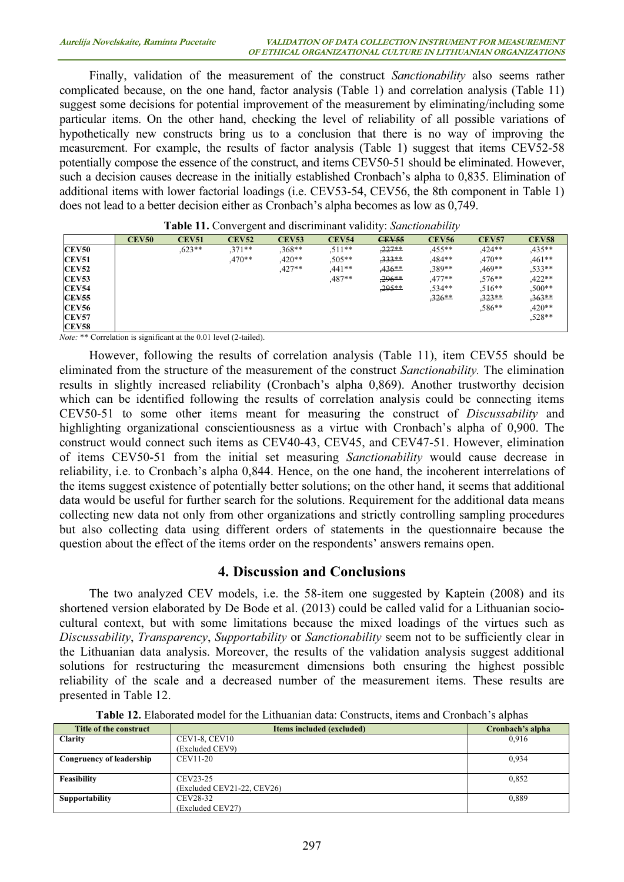Finally, validation of the measurement of the construct *Sanctionability* also seems rather complicated because, on the one hand, factor analysis (Table 1) and correlation analysis (Table 11) suggest some decisions for potential improvement of the measurement by eliminating/including some particular items. On the other hand, checking the level of reliability of all possible variations of hypothetically new constructs bring us to a conclusion that there is no way of improving the measurement. For example, the results of factor analysis (Table 1) suggest that items CEV52-58 potentially compose the essence of the construct, and items CEV50-51 should be eliminated. However, such a decision causes decrease in the initially established Cronbach's alpha to 0,835. Elimination of additional items with lower factorial loadings (i.e. CEV53-54, CEV56, the 8th component in Table 1) does not lead to a better decision either as Cronbach's alpha becomes as low as 0,749.

|              | <b>CEV50</b> | <b>CEV51</b> | <b>CEV52</b> | <b>CEV53</b> | <b>CEV54</b> | <b>CEV55</b> | <b>CEV56</b> | <b>CEV57</b> | <b>CEV58</b> |
|--------------|--------------|--------------|--------------|--------------|--------------|--------------|--------------|--------------|--------------|
| <b>CEV50</b> |              | $.623**$     | $.371**$     | $,368**$     | $.511**$     | $,227**$     | $.455***$    | $.424**$     | $.435**$     |
| <b>CEV51</b> |              |              | $.470**$     | $.420**$     | $0.505**$    | $.333**$     | $.484**$     | $.470**$     | $.461**$     |
| <b>CEV52</b> |              |              |              | $.427**$     | $,441**$     | $.436**$     | $,389**$     | $0.469**$    | $.533**$     |
| <b>CEV53</b> |              |              |              |              | $.487**$     | $,296**$     | $,477**$     | $.576**$     | $,422**$     |
| <b>CEV54</b> |              |              |              |              |              | 295**        | $.534**$     | $.516**$     | $.500**$     |
| <b>CEV55</b> |              |              |              |              |              |              | $,326**$     | $,323**$     | $.363**$     |
| <b>CEV56</b> |              |              |              |              |              |              |              | $.586**$     | $,420**$     |
| <b>CEV57</b> |              |              |              |              |              |              |              |              | $,528**$     |
| <b>CEV58</b> |              |              |              |              |              |              |              |              |              |

| Table 11. Convergent and discriminant validity: Sanctionability |  |  |
|-----------------------------------------------------------------|--|--|
|                                                                 |  |  |

Note: \*\* Correlation is significant at the 0.01 level (2-tailed).

However, following the results of correlation analysis (Table 11), item CEV55 should be eliminated from the structure of the measurement of the construct Sanctionability. The elimination results in slightly increased reliability (Cronbach's alpha 0,869). Another trustworthy decision which can be identified following the results of correlation analysis could be connecting items CEV50-51 to some other items meant for measuring the construct of Discussability and highlighting organizational conscientiousness as a virtue with Cronbach's alpha of 0,900. The construct would connect such items as CEV40-43, CEV45, and CEV47-51. However, elimination of items CEV50-51 from the initial set measuring Sanctionability would cause decrease in reliability, i.e. to Cronbach's alpha 0,844. Hence, on the one hand, the incoherent interrelations of the items suggest existence of potentially better solutions; on the other hand, it seems that additional data would be useful for further search for the solutions. Requirement for the additional data means collecting new data not only from other organizations and strictly controlling sampling procedures but also collecting data using different orders of statements in the questionnaire because the question about the effect of the items order on the respondents' answers remains open.

#### 4. Discussion and Conclusions

The two analyzed CEV models, i.e. the 58-item one suggested by Kaptein (2008) and its shortened version elaborated by De Bode et al. (2013) could be called valid for a Lithuanian sociocultural context, but with some limitations because the mixed loadings of the virtues such as Discussability, Transparency, Supportability or Sanctionability seem not to be sufficiently clear in the Lithuanian data analysis. Moreover, the results of the validation analysis suggest additional solutions for restructuring the measurement dimensions both ensuring the highest possible reliability of the scale and a decreased number of the measurement items. These results are presented in Table 12.

| Title of the construct   | Items included (excluded)  | Cronbach's alpha |
|--------------------------|----------------------------|------------------|
| <b>Clarity</b>           | <b>CEV1-8, CEV10</b>       | 0.916            |
|                          | (Excluded CEV9)            |                  |
| Congruency of leadership | CEV11-20                   | 0.934            |
|                          |                            |                  |
| Feasibility              | CEV23-25                   | 0.852            |
|                          | (Excluded CEV21-22, CEV26) |                  |
| <b>Supportability</b>    | CEV28-32                   | 0.889            |
|                          | (Excluded CEV27)           |                  |

Table 12. Elaborated model for the Lithuanian data: Constructs, items and Cronbach's alphas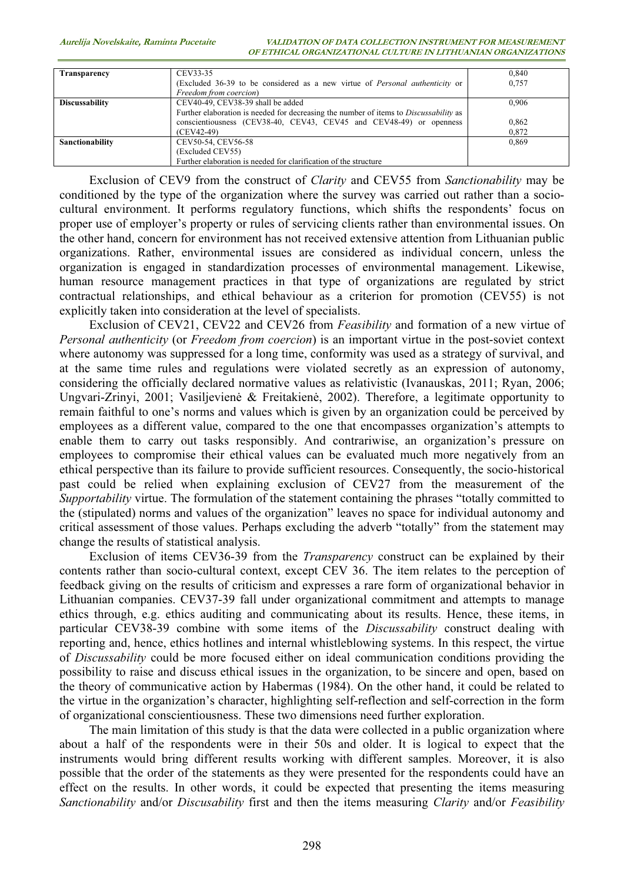| Transparency          | CEV33-35                                                                              | 0.840 |
|-----------------------|---------------------------------------------------------------------------------------|-------|
|                       | (Excluded 36-39 to be considered as a new virtue of <i>Personal authenticity</i> or   | 0.757 |
|                       |                                                                                       |       |
|                       | Freedom from coercion)                                                                |       |
| <b>Discussability</b> | CEV40-49, CEV38-39 shall be added                                                     | 0.906 |
|                       | Further elaboration is needed for decreasing the number of items to Discussability as |       |
|                       | conscientiousness (CEV38-40, CEV43, CEV45 and CEV48-49) or openness                   | 0,862 |
|                       | $(CEV42-49)$                                                                          | 0,872 |
| Sanctionability       | CEV50-54, CEV56-58                                                                    | 0.869 |
|                       | (Excluded CEV55)                                                                      |       |
|                       | Further elaboration is needed for clarification of the structure                      |       |

Exclusion of CEV9 from the construct of Clarity and CEV55 from Sanctionability may be conditioned by the type of the organization where the survey was carried out rather than a sociocultural environment. It performs regulatory functions, which shifts the respondents' focus on proper use of employer's property or rules of servicing clients rather than environmental issues. On the other hand, concern for environment has not received extensive attention from Lithuanian public organizations. Rather, environmental issues are considered as individual concern, unless the organization is engaged in standardization processes of environmental management. Likewise, human resource management practices in that type of organizations are regulated by strict contractual relationships, and ethical behaviour as a criterion for promotion (CEV55) is not explicitly taken into consideration at the level of specialists.

Exclusion of CEV21, CEV22 and CEV26 from *Feasibility* and formation of a new virtue of Personal authenticity (or Freedom from coercion) is an important virtue in the post-soviet context where autonomy was suppressed for a long time, conformity was used as a strategy of survival, and at the same time rules and regulations were violated secretly as an expression of autonomy, considering the officially declared normative values as relativistic (Ivanauskas, 2011; Ryan, 2006; Ungvari-Zrinyi, 2001; Vasiljevienė & Freitakienė, 2002). Therefore, a legitimate opportunity to remain faithful to one's norms and values which is given by an organization could be perceived by employees as a different value, compared to the one that encompasses organization's attempts to enable them to carry out tasks responsibly. And contrariwise, an organization's pressure on employees to compromise their ethical values can be evaluated much more negatively from an ethical perspective than its failure to provide sufficient resources. Consequently, the socio-historical past could be relied when explaining exclusion of CEV27 from the measurement of the Supportability virtue. The formulation of the statement containing the phrases "totally committed to the (stipulated) norms and values of the organization" leaves no space for individual autonomy and critical assessment of those values. Perhaps excluding the adverb "totally" from the statement may change the results of statistical analysis.

Exclusion of items CEV36-39 from the *Transparency* construct can be explained by their contents rather than socio-cultural context, except CEV 36. The item relates to the perception of feedback giving on the results of criticism and expresses a rare form of organizational behavior in Lithuanian companies. CEV37-39 fall under organizational commitment and attempts to manage ethics through, e.g. ethics auditing and communicating about its results. Hence, these items, in particular CEV38-39 combine with some items of the *Discussability* construct dealing with reporting and, hence, ethics hotlines and internal whistleblowing systems. In this respect, the virtue of Discussability could be more focused either on ideal communication conditions providing the possibility to raise and discuss ethical issues in the organization, to be sincere and open, based on the theory of communicative action by Habermas (1984). On the other hand, it could be related to the virtue in the organization's character, highlighting self-reflection and self-correction in the form of organizational conscientiousness. These two dimensions need further exploration.

The main limitation of this study is that the data were collected in a public organization where about a half of the respondents were in their 50s and older. It is logical to expect that the instruments would bring different results working with different samples. Moreover, it is also possible that the order of the statements as they were presented for the respondents could have an effect on the results. In other words, it could be expected that presenting the items measuring Sanctionability and/or Discusability first and then the items measuring Clarity and/or Feasibility